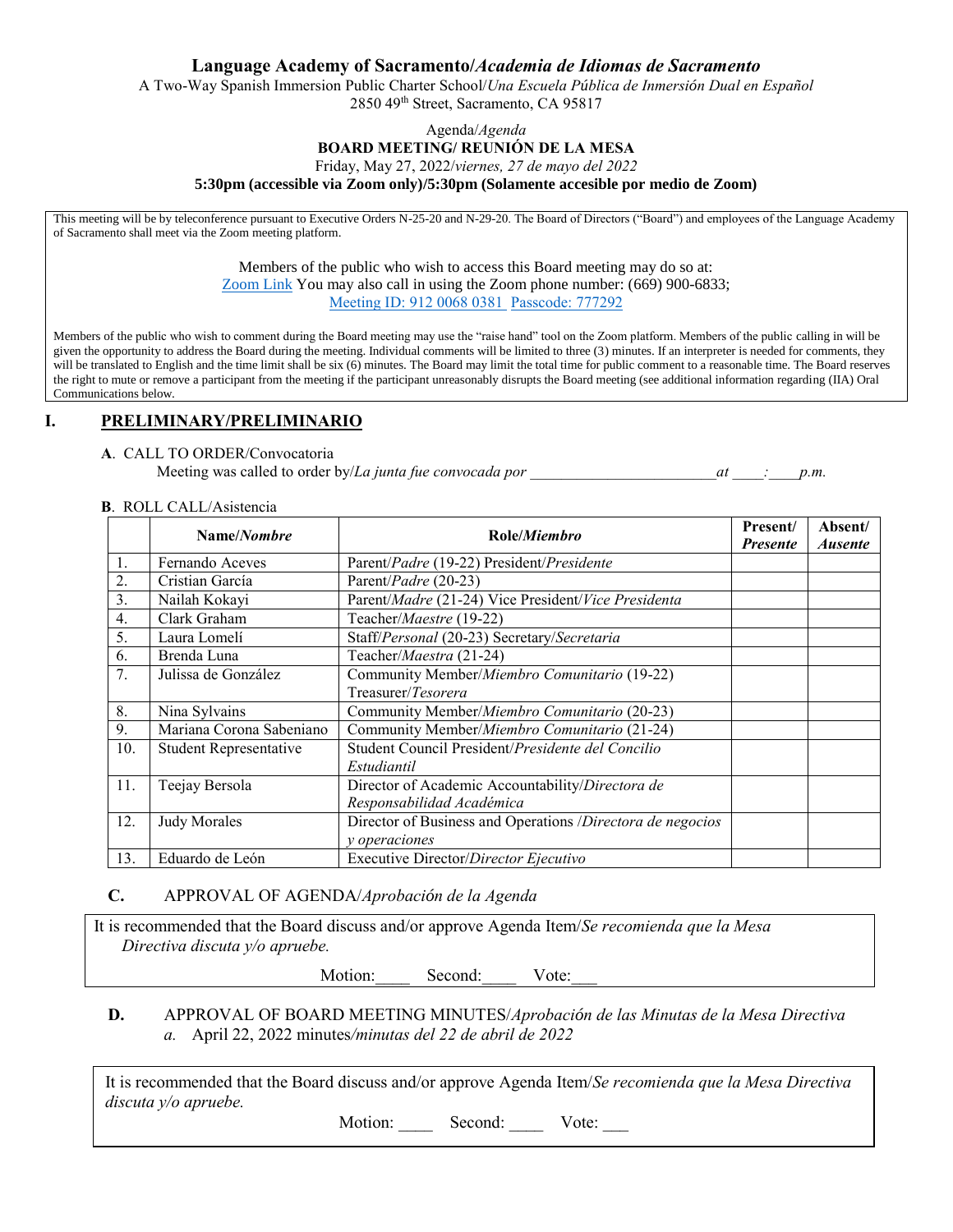## **Language Academy of Sacramento/***Academia de Idiomas de Sacramento*

A Two-Way Spanish Immersion Public Charter School/*Una Escuela Pública de Inmersión Dual en Español* 2850 49th Street, Sacramento, CA 95817

Agenda/*Agenda*

#### **BOARD MEETING/ REUNIÓN DE LA MESA**

Friday, May 27, 2022/*viernes, 27 de mayo del 2022*

#### **5:30pm (accessible via Zoom only)/5:30pm (Solamente accesible por medio de Zoom)**

This meeting will be by teleconference pursuant to Executive Orders N-25-20 and N-29-20. The Board of Directors ("Board") and employees of the Language Academy of Sacramento shall meet via the Zoom meeting platform.

Members of the public who wish to access this Board meeting may do so at:

[Zoom Link](https://zoom.us/j/91200680381?pwd=QmNra0NLaG1PdVU4c0E5anVONlkyQT09) You may also call in using the Zoom phone number: (669) 900-6833;

Meeting ID: 912 0068 0381 Passcode: 777292

Members of the public who wish to comment during the Board meeting may use the "raise hand" tool on the Zoom platform. Members of the public calling in will be given the opportunity to address the Board during the meeting. Individual comments will be limited to three (3) minutes. If an interpreter is needed for comments, they will be translated to English and the time limit shall be six (6) minutes. The Board may limit the total time for public comment to a reasonable time. The Board reserves the right to mute or remove a participant from the meeting if the participant unreasonably disrupts the Board meeting (see additional information regarding (IIA) Oral Communications below.

### **I. PRELIMINARY/PRELIMINARIO**

**A**. CALL TO ORDER/Convocatoria

Meeting was called to order by/*La junta fue convocada por and the convocational p.m.* 

**B**. ROLL CALL/Asistencia

|     | Name/ <i>Nombre</i>      | Role/ <i>Miembro</i>                                       | Present/<br><b>Presente</b> | Absent/<br><b>Ausente</b> |
|-----|--------------------------|------------------------------------------------------------|-----------------------------|---------------------------|
| 1.  | Fernando Aceves          | Parent/Padre (19-22) President/Presidente                  |                             |                           |
| 2.  | Cristian García          | Parent/Padre (20-23)                                       |                             |                           |
| 3.  | Nailah Kokayi            | Parent/Madre (21-24) Vice President/Vice Presidenta        |                             |                           |
| 4.  | Clark Graham             | Teacher/Maestre (19-22)                                    |                             |                           |
| 5.  | Laura Lomelí             | Staff/Personal (20-23) Secretary/Secretaria                |                             |                           |
| 6.  | Brenda Luna              | Teacher/Maestra (21-24)                                    |                             |                           |
| 7.  | Julissa de González      | Community Member/Miembro Comunitario (19-22)               |                             |                           |
|     |                          | Treasurer/Tesorera                                         |                             |                           |
| 8.  | Nina Sylvains            | Community Member/Miembro Comunitario (20-23)               |                             |                           |
| 9.  | Mariana Corona Sabeniano | Community Member/Miembro Comunitario (21-24)               |                             |                           |
| 10. | Student Representative   | Student Council President/Presidente del Concilio          |                             |                           |
|     |                          | Estudiantil                                                |                             |                           |
| 11. | Teejay Bersola           | Director of Academic Accountability/Directora de           |                             |                           |
|     |                          | Responsabilidad Académica                                  |                             |                           |
| 12. | <b>Judy Morales</b>      | Director of Business and Operations /Directora de negocios |                             |                           |
|     |                          | y operaciones                                              |                             |                           |
| 13. | Eduardo de León          | Executive Director/Director Ejecutivo                      |                             |                           |

### **C.** APPROVAL OF AGENDA/*Aprobación de la Agenda*

It is recommended that the Board discuss and/or approve Agenda Item/*Se recomienda que la Mesa Directiva discuta y/o apruebe.*

Motion: Second: Vote:

## **D.** APPROVAL OF BOARD MEETING MINUTES/*Aprobación de las Minutas de la Mesa Directiva a.* April 22, 2022 minutes*/minutas del 22 de abril de 2022*

It is recommended that the Board discuss and/or approve Agenda Item/*Se recomienda que la Mesa Directiva discuta y/o apruebe.*

Motion: Second: Vote: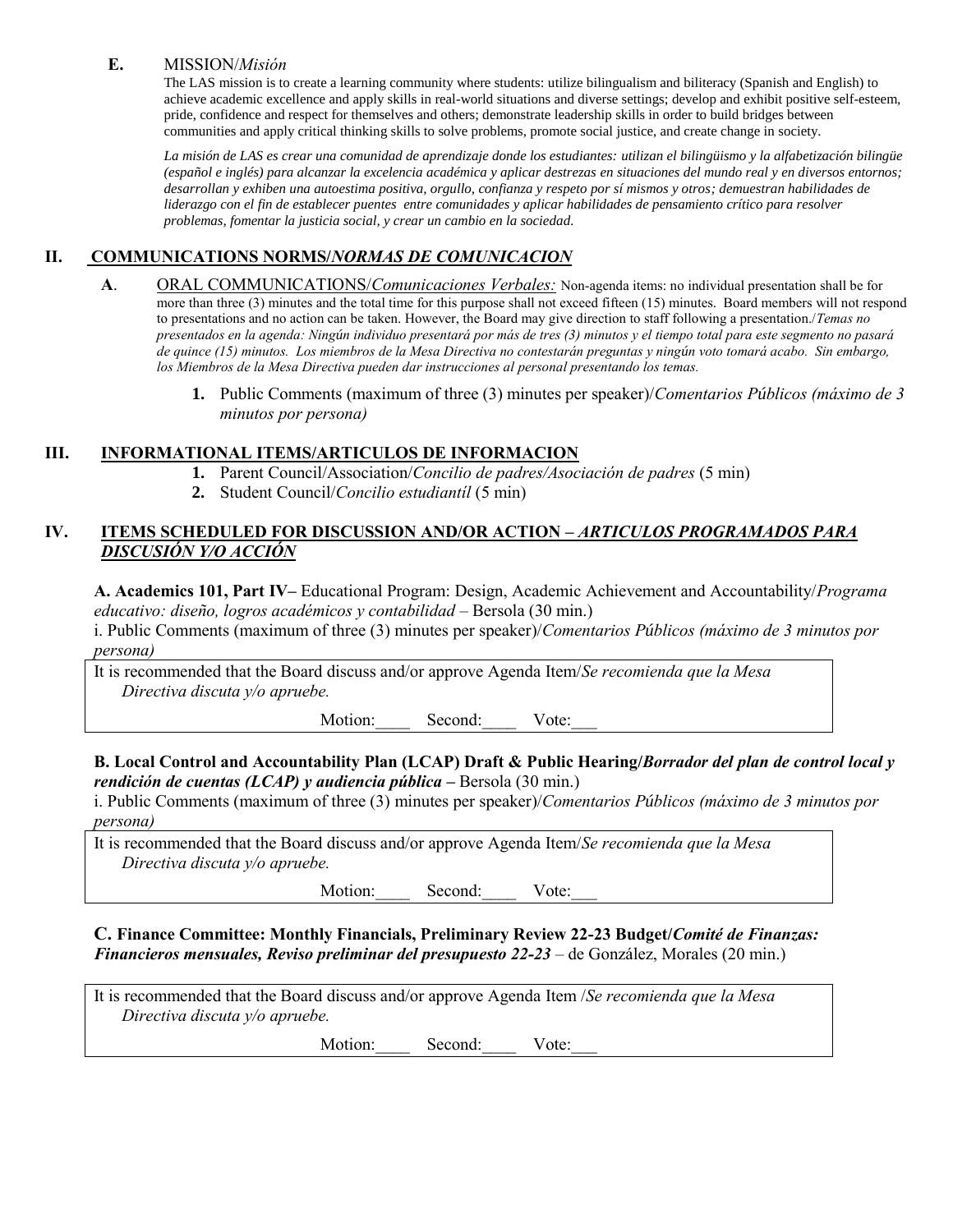## **E.** MISSION/*Misión*

The LAS mission is to create a learning community where students: utilize bilingualism and biliteracy (Spanish and English) to achieve academic excellence and apply skills in real-world situations and diverse settings; develop and exhibit positive self-esteem, pride, confidence and respect for themselves and others; demonstrate leadership skills in order to build bridges between communities and apply critical thinking skills to solve problems, promote social justice, and create change in society.

*La misión de LAS es crear una comunidad de aprendizaje donde los estudiantes: utilizan el bilingüismo y la alfabetización bilingüe (español e inglés) para alcanzar la excelencia académica y aplicar destrezas en situaciones del mundo real y en diversos entornos; desarrollan y exhiben una autoestima positiva, orgullo, confianza y respeto por sí mismos y otros; demuestran habilidades de liderazgo con el fin de establecer puentes entre comunidades y aplicar habilidades de pensamiento crítico para resolver problemas, fomentar la justicia social, y crear un cambio en la sociedad.*

# **II. COMMUNICATIONS NORMS/***NORMAS DE COMUNICACION*

- **A**. ORAL COMMUNICATIONS/*Comunicaciones Verbales:* Non-agenda items: no individual presentation shall be for more than three (3) minutes and the total time for this purpose shall not exceed fifteen (15) minutes. Board members will not respond to presentations and no action can be taken. However, the Board may give direction to staff following a presentation./*Temas no presentados en la agenda: Ningún individuo presentará por más de tres (3) minutos y el tiempo total para este segmento no pasará de quince (15) minutos. Los miembros de la Mesa Directiva no contestarán preguntas y ningún voto tomará acabo. Sin embargo, los Miembros de la Mesa Directiva pueden dar instrucciones al personal presentando los temas.*
	- **1.** Public Comments (maximum of three (3) minutes per speaker)/*Comentarios Públicos (máximo de 3 minutos por persona)*

# **III. INFORMATIONAL ITEMS/ARTICULOS DE INFORMACION**

- **1.** Parent Council/Association/*Concilio de padres/Asociación de padres* (5 min)
- **2.** Student Council/*Concilio estudiantíl* (5 min)

# IV. **ITEMS SCHEDULED FOR DISCUSSION AND/OR ACTION – ARTICULOS PROGRAMADOS PARA** *DISCUSIÓN Y/O ACCIÓN*

**A. Academics 101, Part IV–** Educational Program: Design, Academic Achievement and Accountability/*Programa educativo: diseño, logros académicos y contabilidad* – Bersola (30 min.)

i. Public Comments (maximum of three (3) minutes per speaker)/*Comentarios Públicos (máximo de 3 minutos por persona)* 

It is recommended that the Board discuss and/or approve Agenda Item/*Se recomienda que la Mesa Directiva discuta y/o apruebe.*

Motion: Second: Vote:

# **B. Local Control and Accountability Plan (LCAP) Draft & Public Hearing/***Borrador del plan de control local y rendición de cuentas (LCAP) y audiencia pública* **–** Bersola (30 min.)

i. Public Comments (maximum of three (3) minutes per speaker)/*Comentarios Públicos (máximo de 3 minutos por persona)* 

It is recommended that the Board discuss and/or approve Agenda Item/*Se recomienda que la Mesa Directiva discuta y/o apruebe.*

Motion: Second: Vote:

**C. Finance Committee: Monthly Financials, Preliminary Review 22-23 Budget/***Comité de Finanzas: Financieros mensuales, Reviso preliminar del presupuesto 22-23* – de González, Morales (20 min.)

It is recommended that the Board discuss and/or approve Agenda Item /*Se recomienda que la Mesa Directiva discuta y/o apruebe.*

Motion: Second: Vote: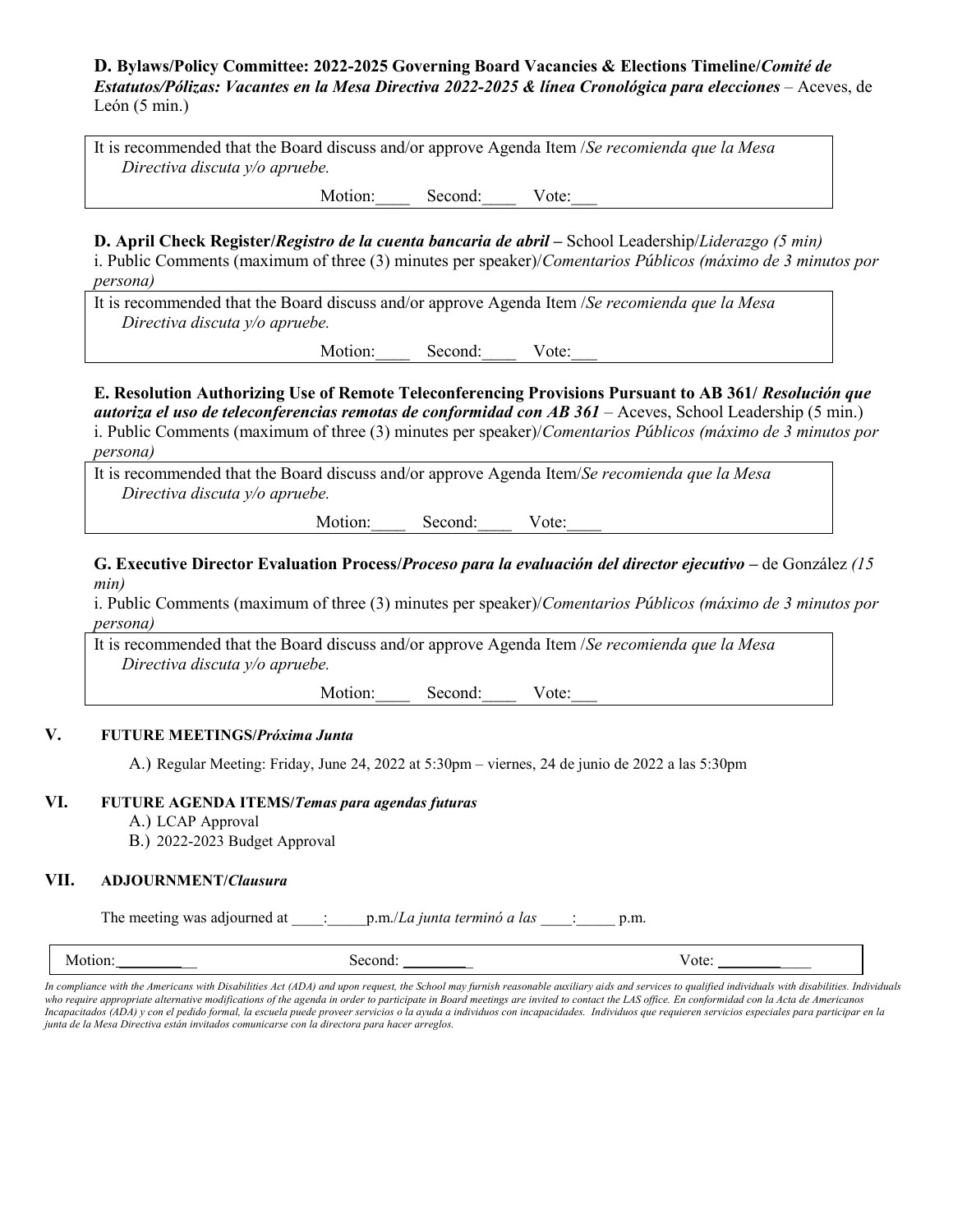**D. Bylaws/Policy Committee: 2022-2025 Governing Board Vacancies & Elections Timeline/***Comité de Estatutos/Pólizas: Vacantes en la Mesa Directiva 2022-2025 & línea Cronológica para elecciones* – Aceves, de León (5 min.)

It is recommended that the Board discuss and/or approve Agenda Item /*Se recomienda que la Mesa Directiva discuta y/o apruebe.*

Motion: Second: Vote:

**D. April Check Register/***Registro de la cuenta bancaria de abril –* School Leadership/*Liderazgo (5 min)*

i. Public Comments (maximum of three (3) minutes per speaker)/*Comentarios Públicos (máximo de 3 minutos por persona)* 

It is recommended that the Board discuss and/or approve Agenda Item /*Se recomienda que la Mesa Directiva discuta y/o apruebe.*

Motion: Second: Vote:

### **E. Resolution Authorizing Use of Remote Teleconferencing Provisions Pursuant to AB 361/** *Resolución que autoriza el uso de teleconferencias remotas de conformidad con AB 361 – Aceves, School Leadership (5 min.)*

i. Public Comments (maximum of three (3) minutes per speaker)/*Comentarios Públicos (máximo de 3 minutos por persona)* 

It is recommended that the Board discuss and/or approve Agenda Item/*Se recomienda que la Mesa Directiva discuta y/o apruebe.*

Motion: Second: Vote:

## **G. Executive Director Evaluation Process/***Proceso para la evaluación del director ejecutivo –* de González *(15 min)*

i. Public Comments (maximum of three (3) minutes per speaker)/*Comentarios Públicos (máximo de 3 minutos por persona)* 

It is recommended that the Board discuss and/or approve Agenda Item /*Se recomienda que la Mesa Directiva discuta y/o apruebe.* Motion: Second: Vote:

### **V. FUTURE MEETINGS/***Próxima Junta*

A.) Regular Meeting: Friday, June 24, 2022 at 5:30pm – viernes, 24 de junio de 2022 a las 5:30pm

### **VI. FUTURE AGENDA ITEMS/***Temas para agendas futuras*

- A.) LCAP Approval
- B.) 2022-2023 Budget Approval

### **VII. ADJOURNMENT/***Clausura*

The meeting was adjourned at  $\qquad \qquad$ :  $\qquad \qquad$  p.m.*/La junta terminó a las*  $\qquad \qquad$ : p.m.

Motion: \_\_\_\_\_\_\_\_\_\_ Second: \_\_\_\_\_\_\_\_\_ Vote: \_\_\_\_\_\_\_\_\_\_\_\_

*In compliance with the Americans with Disabilities Act (ADA) and upon request, the School may furnish reasonable auxiliary aids and services to qualified individuals with disabilities. Individuals who require appropriate alternative modifications of the agenda in order to participate in Board meetings are invited to contact the LAS office. En conformidad con la Acta de Americanos Incapacitados (ADA) y con el pedido formal, la escuela puede proveer servicios o la ayuda a individuos con incapacidades. Individuos que requieren servicios especiales para participar en la junta de la Mesa Directiva están invitados comunicarse con la directora para hacer arreglos.*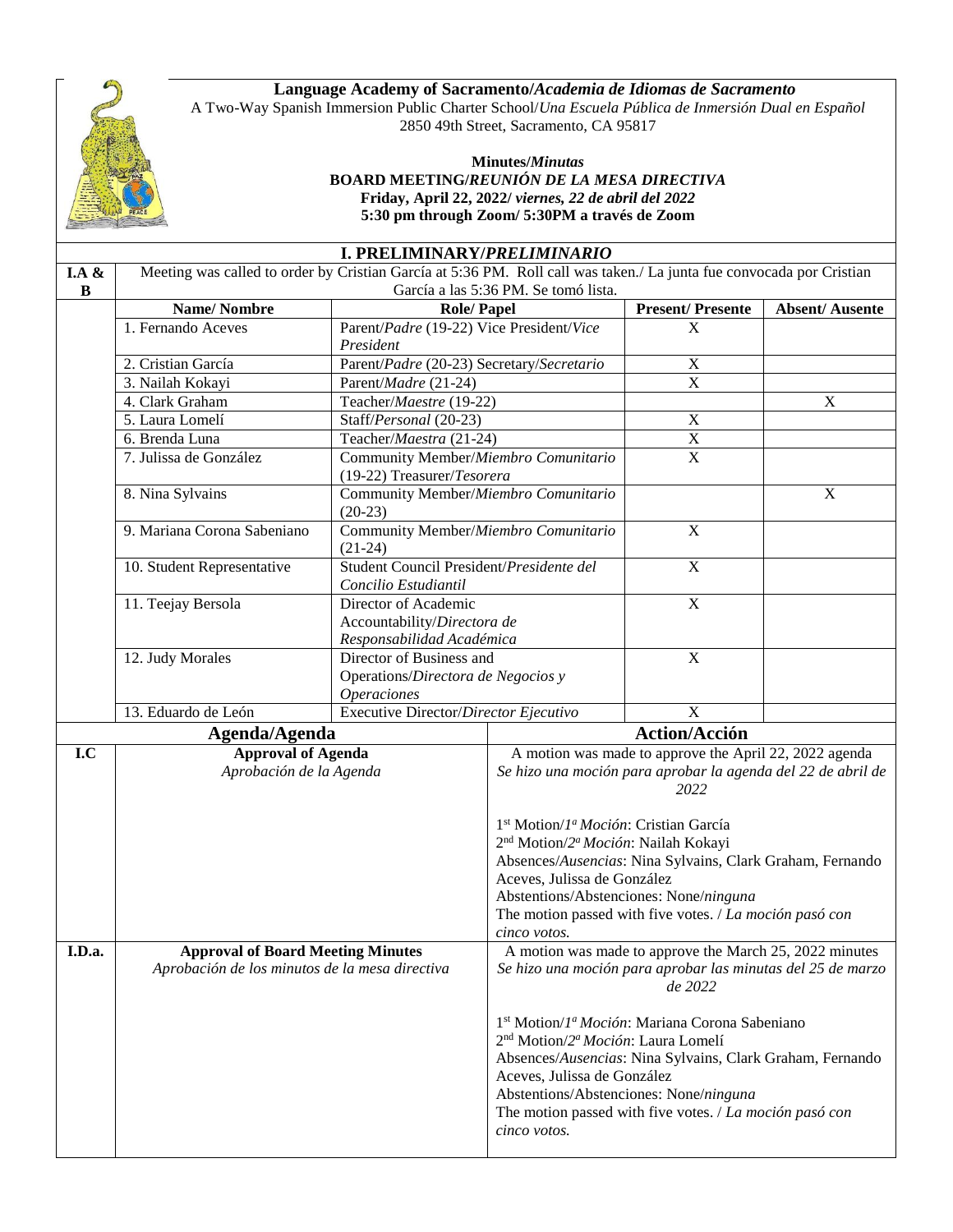

# **Language Academy of Sacramento/***Academia de Idiomas de Sacramento*

A Two-Way Spanish Immersion Public Charter School/*Una Escuela Pública de Inmersión Dual en Español* 2850 49th Street, Sacramento, CA 95817

### **Minutes/***Minutas* **BOARD MEETING/***REUNIÓN DE LA MESA DIRECTIVA* **Friday, April 22, 2022/** *viernes, 22 de abril del 2022* **5:30 pm through Zoom/ 5:30PM a través de Zoom**

| I. PRELIMINARY/PRELIMINARIO |                                                                                                                      |                                                                       |                                                                 |                            |                       |  |  |
|-----------------------------|----------------------------------------------------------------------------------------------------------------------|-----------------------------------------------------------------------|-----------------------------------------------------------------|----------------------------|-----------------------|--|--|
| I.A $\&$                    | Meeting was called to order by Cristian García at 5:36 PM. Roll call was taken./ La junta fue convocada por Cristian |                                                                       |                                                                 |                            |                       |  |  |
| $\bf{B}$                    |                                                                                                                      |                                                                       | García a las 5:36 PM. Se tomó lista.                            |                            |                       |  |  |
|                             | <b>Name/Nombre</b>                                                                                                   | Role/ Papel                                                           |                                                                 | <b>Present/Presente</b>    | <b>Absent/Ausente</b> |  |  |
|                             | 1. Fernando Aceves                                                                                                   | Parent/Padre (19-22) Vice President/Vice                              |                                                                 | X                          |                       |  |  |
|                             |                                                                                                                      | President                                                             |                                                                 |                            |                       |  |  |
|                             | 2. Cristian García                                                                                                   | Parent/Padre (20-23) Secretary/Secretario                             |                                                                 | X<br>$\mathbf X$           |                       |  |  |
|                             | 3. Nailah Kokayi                                                                                                     | Parent/Madre (21-24)                                                  |                                                                 |                            |                       |  |  |
|                             | 4. Clark Graham<br>5. Laura Lomelí                                                                                   | Teacher/Maestre (19-22)                                               |                                                                 |                            | X                     |  |  |
|                             | 6. Brenda Luna                                                                                                       | Staff/Personal (20-23)                                                |                                                                 | $\mathbf X$<br>$\mathbf X$ |                       |  |  |
|                             | 7. Julissa de González                                                                                               |                                                                       | Teacher/Maestra (21-24)<br>Community Member/Miembro Comunitario |                            |                       |  |  |
|                             |                                                                                                                      | (19-22) Treasurer/Tesorera                                            |                                                                 | $\mathbf X$                |                       |  |  |
|                             | 8. Nina Sylvains                                                                                                     | Community Member/Miembro Comunitario                                  |                                                                 |                            | $\mathbf X$           |  |  |
|                             |                                                                                                                      | $(20-23)$                                                             |                                                                 |                            |                       |  |  |
|                             | 9. Mariana Corona Sabeniano                                                                                          | Community Member/Miembro Comunitario                                  |                                                                 | X                          |                       |  |  |
|                             | $(21-24)$<br>10. Student Representative                                                                              |                                                                       |                                                                 | $\mathbf X$                |                       |  |  |
|                             |                                                                                                                      | Student Council President/Presidente del<br>Concilio Estudiantil      |                                                                 |                            |                       |  |  |
|                             | 11. Teejay Bersola                                                                                                   | Director of Academic                                                  |                                                                 | $\mathbf X$                |                       |  |  |
|                             |                                                                                                                      |                                                                       | Accountability/Directora de                                     |                            |                       |  |  |
|                             |                                                                                                                      | Responsabilidad Académica                                             |                                                                 |                            |                       |  |  |
|                             | 12. Judy Morales                                                                                                     | Director of Business and                                              |                                                                 | $\mathbf X$                |                       |  |  |
|                             |                                                                                                                      | Operations/Directora de Negocios y                                    |                                                                 |                            |                       |  |  |
|                             |                                                                                                                      | <b>Operaciones</b>                                                    |                                                                 |                            |                       |  |  |
|                             | 13. Eduardo de León                                                                                                  | Executive Director/Director Ejecutivo                                 |                                                                 | X                          |                       |  |  |
|                             | Agenda/Agenda                                                                                                        |                                                                       |                                                                 | <b>Action/Acción</b>       |                       |  |  |
| I.C                         | <b>Approval of Agenda</b>                                                                                            |                                                                       | A motion was made to approve the April 22, 2022 agenda          |                            |                       |  |  |
|                             | Aprobación de la Agenda                                                                                              |                                                                       | Se hizo una moción para aprobar la agenda del 22 de abril de    |                            |                       |  |  |
|                             |                                                                                                                      |                                                                       | 2022                                                            |                            |                       |  |  |
|                             |                                                                                                                      |                                                                       | 1 <sup>st</sup> Motion/1 <sup>a</sup> Moción: Cristian García   |                            |                       |  |  |
|                             |                                                                                                                      |                                                                       | 2 <sup>nd</sup> Motion/2 <sup>a</sup> Moción: Nailah Kokayi     |                            |                       |  |  |
|                             |                                                                                                                      |                                                                       | Absences/Ausencias: Nina Sylvains, Clark Graham, Fernando       |                            |                       |  |  |
|                             |                                                                                                                      |                                                                       | Aceves, Julissa de González                                     |                            |                       |  |  |
|                             |                                                                                                                      |                                                                       | Abstentions/Abstenciones: None/ninguna                          |                            |                       |  |  |
|                             |                                                                                                                      |                                                                       | The motion passed with five votes. / La moción pasó con         |                            |                       |  |  |
|                             |                                                                                                                      | cinco votos.                                                          |                                                                 |                            |                       |  |  |
| I.D.a.                      | <b>Approval of Board Meeting Minutes</b>                                                                             |                                                                       | A motion was made to approve the March 25, 2022 minutes         |                            |                       |  |  |
|                             | Aprobación de los minutos de la mesa directiva                                                                       |                                                                       | Se hizo una moción para aprobar las minutas del 25 de marzo     |                            |                       |  |  |
|                             |                                                                                                                      |                                                                       | de 2022                                                         |                            |                       |  |  |
|                             |                                                                                                                      |                                                                       |                                                                 |                            |                       |  |  |
|                             |                                                                                                                      |                                                                       | 1st Motion/1 <sup>a</sup> Moción: Mariana Corona Sabeniano      |                            |                       |  |  |
|                             |                                                                                                                      |                                                                       | 2 <sup>nd</sup> Motion/2 <sup>a</sup> Moción: Laura Lomelí      |                            |                       |  |  |
|                             |                                                                                                                      |                                                                       | Absences/Ausencias: Nina Sylvains, Clark Graham, Fernando       |                            |                       |  |  |
|                             |                                                                                                                      | Aceves, Julissa de González<br>Abstentions/Abstenciones: None/ninguna |                                                                 |                            |                       |  |  |
|                             |                                                                                                                      | The motion passed with five votes. / La moción pasó con               |                                                                 |                            |                       |  |  |
|                             |                                                                                                                      |                                                                       | cinco votos.                                                    |                            |                       |  |  |
|                             |                                                                                                                      |                                                                       |                                                                 |                            |                       |  |  |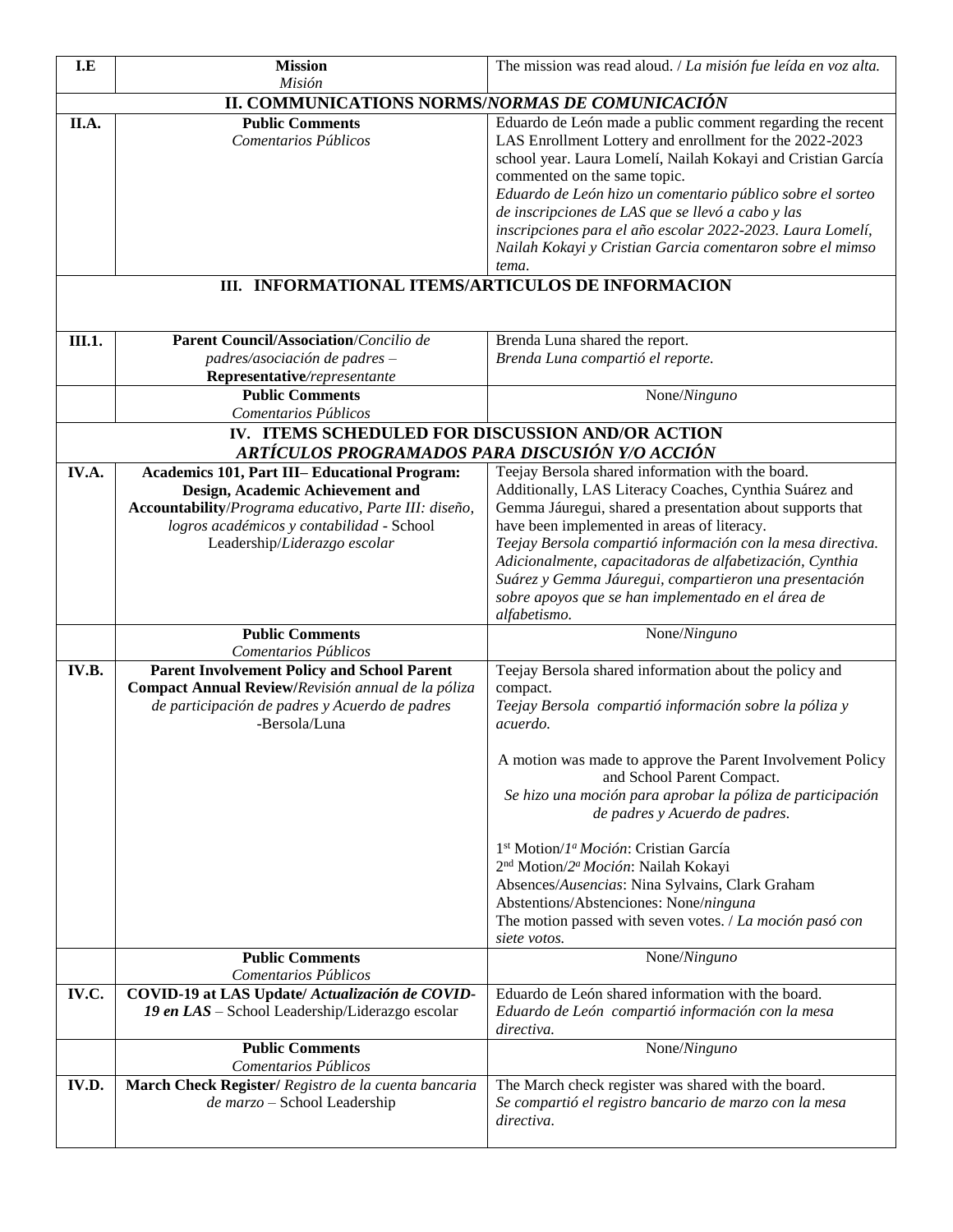| I.E                                                                                                 | <b>Mission</b><br>Misión                                                                                 | The mission was read aloud. / La misión fue leída en voz alta.           |  |  |  |  |  |
|-----------------------------------------------------------------------------------------------------|----------------------------------------------------------------------------------------------------------|--------------------------------------------------------------------------|--|--|--|--|--|
|                                                                                                     | II. COMMUNICATIONS NORMS/NORMAS DE COMUNICACIÓN                                                          |                                                                          |  |  |  |  |  |
| II.A.                                                                                               | <b>Public Comments</b>                                                                                   | Eduardo de León made a public comment regarding the recent               |  |  |  |  |  |
|                                                                                                     | Comentarios Públicos                                                                                     | LAS Enrollment Lottery and enrollment for the 2022-2023                  |  |  |  |  |  |
|                                                                                                     |                                                                                                          | school year. Laura Lomelí, Nailah Kokayi and Cristian García             |  |  |  |  |  |
|                                                                                                     |                                                                                                          | commented on the same topic.                                             |  |  |  |  |  |
|                                                                                                     |                                                                                                          | Eduardo de León hizo un comentario público sobre el sorteo               |  |  |  |  |  |
|                                                                                                     |                                                                                                          | de inscripciones de LAS que se llevó a cabo y las                        |  |  |  |  |  |
|                                                                                                     |                                                                                                          | inscripciones para el año escolar 2022-2023. Laura Lomelí,               |  |  |  |  |  |
|                                                                                                     |                                                                                                          | Nailah Kokayi y Cristian Garcia comentaron sobre el mimso                |  |  |  |  |  |
|                                                                                                     |                                                                                                          | tema.                                                                    |  |  |  |  |  |
|                                                                                                     | III. INFORMATIONAL ITEMS/ARTICULOS DE INFORMACION                                                        |                                                                          |  |  |  |  |  |
|                                                                                                     |                                                                                                          |                                                                          |  |  |  |  |  |
|                                                                                                     |                                                                                                          |                                                                          |  |  |  |  |  |
| III.1.                                                                                              | <b>Parent Council/Association/Concilio de</b>                                                            | Brenda Luna shared the report.                                           |  |  |  |  |  |
|                                                                                                     | padres/asociación de padres -                                                                            | Brenda Luna compartió el reporte.                                        |  |  |  |  |  |
|                                                                                                     | Representative/representante                                                                             |                                                                          |  |  |  |  |  |
|                                                                                                     | <b>Public Comments</b>                                                                                   | None/Ninguno                                                             |  |  |  |  |  |
|                                                                                                     | Comentarios Públicos                                                                                     |                                                                          |  |  |  |  |  |
| IV. ITEMS SCHEDULED FOR DISCUSSION AND/OR ACTION<br>ARTÍCULOS PROGRAMADOS PARA DISCUSIÓN Y/O ACCIÓN |                                                                                                          |                                                                          |  |  |  |  |  |
| IV.A.                                                                                               | <b>Academics 101, Part III-Educational Program:</b>                                                      | Teejay Bersola shared information with the board.                        |  |  |  |  |  |
|                                                                                                     | Design, Academic Achievement and                                                                         | Additionally, LAS Literacy Coaches, Cynthia Suárez and                   |  |  |  |  |  |
|                                                                                                     | Accountability/Programa educativo, Parte III: diseño,                                                    | Gemma Jáuregui, shared a presentation about supports that                |  |  |  |  |  |
|                                                                                                     | logros académicos y contabilidad - School                                                                | have been implemented in areas of literacy.                              |  |  |  |  |  |
|                                                                                                     | Leadership/Liderazgo escolar                                                                             | Teejay Bersola compartió información con la mesa directiva.              |  |  |  |  |  |
|                                                                                                     |                                                                                                          | Adicionalmente, capacitadoras de alfabetización, Cynthia                 |  |  |  |  |  |
|                                                                                                     |                                                                                                          | Suárez y Gemma Jáuregui, compartieron una presentación                   |  |  |  |  |  |
|                                                                                                     |                                                                                                          | sobre apoyos que se han implementado en el área de                       |  |  |  |  |  |
|                                                                                                     |                                                                                                          | alfabetismo.                                                             |  |  |  |  |  |
|                                                                                                     | <b>Public Comments</b>                                                                                   | None/Ninguno                                                             |  |  |  |  |  |
| IV.B.                                                                                               | Comentarios Públicos                                                                                     |                                                                          |  |  |  |  |  |
|                                                                                                     | <b>Parent Involvement Policy and School Parent</b><br>Compact Annual Review/Revisión annual de la póliza | Teejay Bersola shared information about the policy and                   |  |  |  |  |  |
|                                                                                                     | de participación de padres y Acuerdo de padres                                                           | compact.<br>Teejay Bersola compartió información sobre la póliza y       |  |  |  |  |  |
|                                                                                                     | -Bersola/Luna                                                                                            | acuerdo.                                                                 |  |  |  |  |  |
|                                                                                                     |                                                                                                          |                                                                          |  |  |  |  |  |
|                                                                                                     |                                                                                                          | A motion was made to approve the Parent Involvement Policy               |  |  |  |  |  |
|                                                                                                     |                                                                                                          | and School Parent Compact.                                               |  |  |  |  |  |
|                                                                                                     |                                                                                                          | Se hizo una moción para aprobar la póliza de participación               |  |  |  |  |  |
|                                                                                                     |                                                                                                          | de padres y Acuerdo de padres.                                           |  |  |  |  |  |
|                                                                                                     |                                                                                                          |                                                                          |  |  |  |  |  |
|                                                                                                     |                                                                                                          | $1st Motion/1a Moción: Cristian García$                                  |  |  |  |  |  |
|                                                                                                     |                                                                                                          | 2 <sup>nd</sup> Motion/2 <sup>a</sup> Moción: Nailah Kokayi              |  |  |  |  |  |
|                                                                                                     |                                                                                                          | Absences/Ausencias: Nina Sylvains, Clark Graham                          |  |  |  |  |  |
|                                                                                                     |                                                                                                          | Abstentions/Abstenciones: None/ninguna                                   |  |  |  |  |  |
|                                                                                                     |                                                                                                          | The motion passed with seven votes. / La moción pasó con<br>siete votos. |  |  |  |  |  |
|                                                                                                     | <b>Public Comments</b>                                                                                   | None/Ninguno                                                             |  |  |  |  |  |
|                                                                                                     | Comentarios Públicos                                                                                     |                                                                          |  |  |  |  |  |
| IV.C.                                                                                               | COVID-19 at LAS Update/ Actualización de COVID-                                                          | Eduardo de León shared information with the board.                       |  |  |  |  |  |
|                                                                                                     | 19 en LAS - School Leadership/Liderazgo escolar                                                          | Eduardo de León compartió información con la mesa                        |  |  |  |  |  |
|                                                                                                     |                                                                                                          | directiva.                                                               |  |  |  |  |  |
|                                                                                                     | <b>Public Comments</b>                                                                                   | None/Ninguno                                                             |  |  |  |  |  |
|                                                                                                     | Comentarios Públicos                                                                                     |                                                                          |  |  |  |  |  |
| IV.D.                                                                                               | March Check Register/ Registro de la cuenta bancaria<br>de marzo - School Leadership                     | The March check register was shared with the board.                      |  |  |  |  |  |
|                                                                                                     |                                                                                                          | Se compartió el registro bancario de marzo con la mesa<br>directiva.     |  |  |  |  |  |
|                                                                                                     |                                                                                                          |                                                                          |  |  |  |  |  |